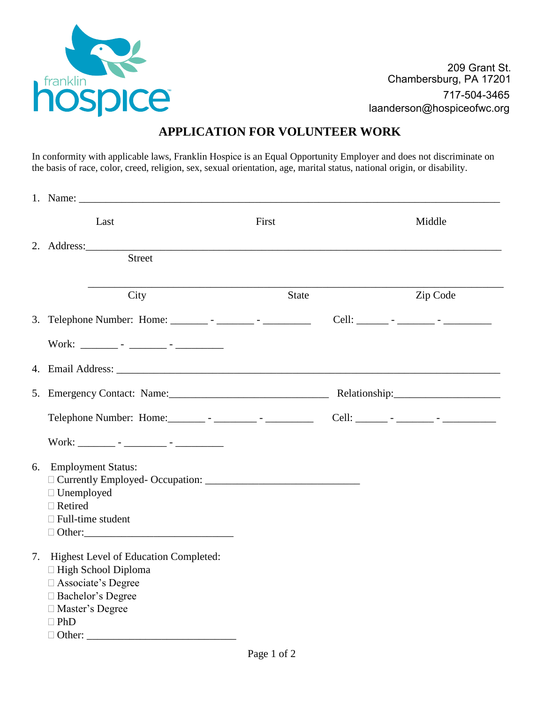

209 Grant St. Chambersburg, PA 17201 717-504-3465 laanderson@hospiceofwc.org

## **APPLICATION FOR VOLUNTEER WORK**

In conformity with applicable laws, Franklin Hospice is an Equal Opportunity Employer and does not discriminate on the basis of race, color, creed, religion, sex, sexual orientation, age, marital status, national origin, or disability.

| 1. Name: $\qquad \qquad$                                                                                                                                                                                                       |              |          |
|--------------------------------------------------------------------------------------------------------------------------------------------------------------------------------------------------------------------------------|--------------|----------|
| Last                                                                                                                                                                                                                           | First        | Middle   |
|                                                                                                                                                                                                                                |              |          |
| <b>Street</b>                                                                                                                                                                                                                  |              |          |
|                                                                                                                                                                                                                                |              |          |
| City                                                                                                                                                                                                                           | <b>State</b> | Zip Code |
|                                                                                                                                                                                                                                |              |          |
|                                                                                                                                                                                                                                |              |          |
| 4. Email Address: No. 1996. The Second State of the Second State of the Second State of the Second State of the Second State of the Second State of the Second State of the Second State of the Second State of the Second Sta |              |          |
|                                                                                                                                                                                                                                |              |          |
|                                                                                                                                                                                                                                |              |          |
|                                                                                                                                                                                                                                |              |          |
| 6. Employment Status:                                                                                                                                                                                                          |              |          |
|                                                                                                                                                                                                                                |              |          |
| $\Box$ Unemployed                                                                                                                                                                                                              |              |          |
| $\Box$ Retired<br>$\Box$ Full-time student                                                                                                                                                                                     |              |          |
|                                                                                                                                                                                                                                |              |          |
|                                                                                                                                                                                                                                |              |          |
| 7. Highest Level of Education Completed:                                                                                                                                                                                       |              |          |
| □ High School Diploma                                                                                                                                                                                                          |              |          |
| □ Associate's Degree                                                                                                                                                                                                           |              |          |
| □ Bachelor's Degree                                                                                                                                                                                                            |              |          |
| □ Master's Degree<br>$\Box$ PhD                                                                                                                                                                                                |              |          |
|                                                                                                                                                                                                                                |              |          |
|                                                                                                                                                                                                                                |              |          |
|                                                                                                                                                                                                                                | Page 1 of 2  |          |